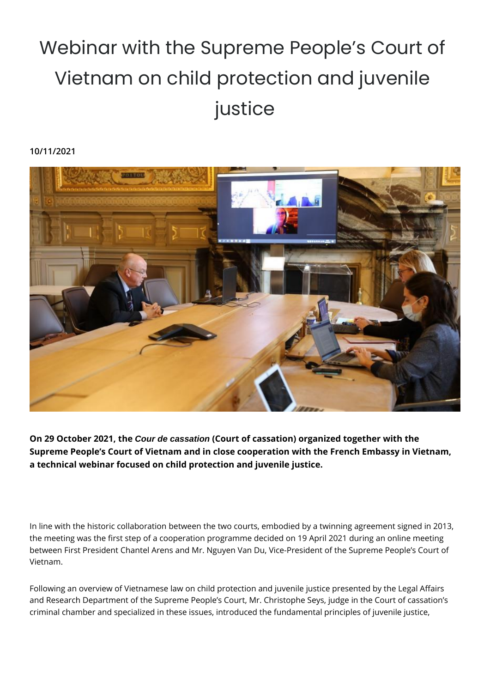## Webinar with the Supreme People's Court of Vietnam on child protection and juvenile justice

## **10/11/2021**



**On 29 October 2021, the Cour de cassation (Court of cassation) organized together with the Supreme People's Court of Vietnam and in close cooperation with the French Embassy in Vietnam, a technical webinar focused on child protection and juvenile justice.** 

In line with the historic collaboration between the two courts, embodied by a twinning agreement signed in 2013, the meeting was the first step of a cooperation programme decided on 19 April 2021 during an online meeting between First President Chantel Arens and Mr. Nguyen Van Du, Vice-President of the Supreme People's Court of Vietnam.

Following an overview of Vietnamese law on child protection and juvenile justice presented by the Legal Affairs and Research Department of the Supreme People's Court, Mr. Christophe Seys, judge in the Court of cassation's criminal chamber and specialized in these issues, introduced the fundamental principles of juvenile justice,